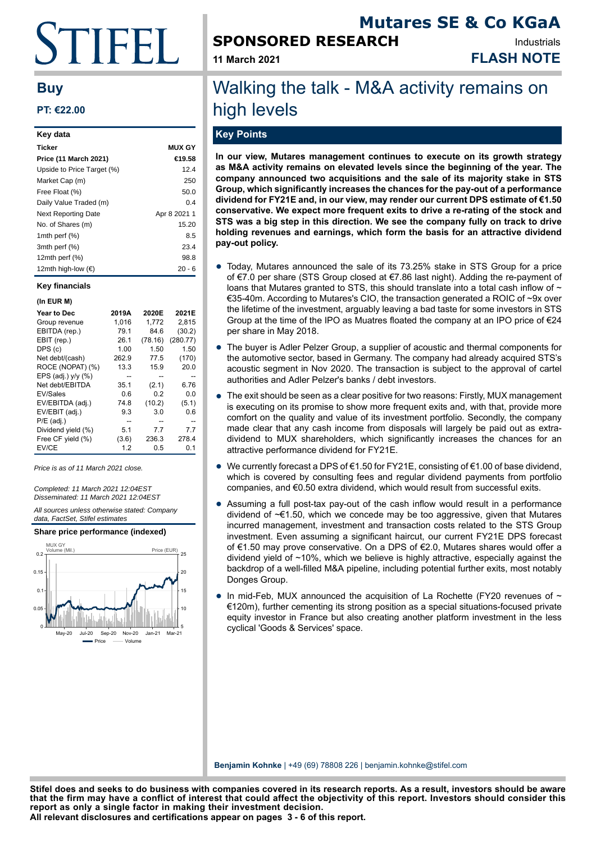# TIFEI I.

# **Buy**

## **PT: €22.00**

| Key data                    |               |
|-----------------------------|---------------|
| <b>Ticker</b>               | <b>MUX GY</b> |
| Price (11 March 2021)       | €19.58        |
| Upside to Price Target (%)  | 12.4          |
| Market Cap (m)              | 250           |
| Free Float (%)              | 50.0          |
| Daily Value Traded (m)      | 0.4           |
| <b>Next Reporting Date</b>  | Apr 8 2021 1  |
| No. of Shares (m)           | 15.20         |
| 1mth perf $(\%)$            | 8.5           |
| 3mth perf (%)               | 23.4          |
| 12 $m$ th perf $(%)$        | 98.8          |
| 12mth high-low $(\epsilon)$ | 20 - 6        |

#### **Key financials**

#### **(In EUR M)**

| Year to Dec          | 2019A | 2020E   | 2021E    |
|----------------------|-------|---------|----------|
| Group revenue        | 1,016 | 1,772   | 2,815    |
| EBITDA (rep.)        | 79.1  | 84.6    | (30.2)   |
| EBIT (rep.)          | 26.1  | (78.16) | (280.77) |
| DPS (c)              | 1.00  | 1.50    | 1.50     |
| Net debt/(cash)      | 262.9 | 77.5    | (170)    |
| ROCE (NOPAT) (%)     | 13.3  | 15.9    | 20.0     |
| EPS (adj.) $v/v$ (%) |       |         |          |
| Net debt/EBITDA      | 35.1  | (2.1)   | 6.76     |
| EV/Sales             | 0.6   | 0.2     | 0.0      |
| EV/EBITDA (adj.)     | 74.8  | (10.2)  | (5.1)    |
| EV/EBIT (adj.)       | 9.3   | 3.0     | 0.6      |
| $P/E$ (adj.)         |       |         |          |
| Dividend yield (%)   | 5.1   | 7.7     | 7.7      |
| Free CF yield (%)    | (3.6) | 236.3   | 278.4    |
| EV/CE                | 1.2   | 0.5     | 0.1      |
|                      |       |         |          |

Price is as of 11 March 2021 close.

Completed: 11 March 2021 12:04EST Disseminated: 11 March 2021 12:04EST

All sources unless otherwise stated: Company data, FactSet, Stifel estimates

### **Share price performance (indexed)**



# **SPONSORED RESEARCH**

**11 March 2021 FLASH NOTE** Industrials

# Walking the talk - M&A activity remains on high levels

# **Key Points**

**In our view, Mutares management continues to execute on its growth strategy as M&A activity remains on elevated levels since the beginning of the year. The company announced two acquisitions and the sale of its majority stake in STS Group, which significantly increases the chances for the pay-out of a performance dividend for FY21E and, in our view, may render our current DPS estimate of €1.50 conservative. We expect more frequent exits to drive a re-rating of the stock and STS was a big step in this direction. We see the company fully on track to drive holding revenues and earnings, which form the basis for an attractive dividend pay-out policy.**

- Today, Mutares announced the sale of its 73.25% stake in STS Group for a price<br>of 57.0 per share (STS Croup alonged at 57.96 legt pight). Adding the re-payment of of €7.0 per share (STS Group closed at €7.86 last night). Adding the re-payment of loans that Mutares granted to STS, this should translate into a total cash inflow of  $\sim$ €35-40m. According to Mutares's CIO, the transaction generated a ROIC of ~9x over the lifetime of the investment, arguably leaving a bad taste for some investors in STS Group at the time of the IPO as Muatres floated the company at an IPO price of  $E$ 24 per share in May 2018.
- The buyer is Adler Pelzer Group, a supplier of acoustic and thermal components for the automotive sector, based in Germany. The company had already acquired STS's acoustic segment in Nov 2020. The transaction is subject to the approval of cartel authorities and Adler Pelzer's banks / debt investors.
- The exit should be seen as a clear positive for two reasons: Firstly, MUX management is executing on its promise to show more frequent exits and, with that, provide more comfort on the quality and value of its investment portfolio. Secondly, the company made clear that any cash income from disposals will largely be paid out as extradividend to MUX shareholders, which significantly increases the chances for an attractive performance dividend for FY21E.
- We currently forecast a DPS of €1.50 for FY21E, consisting of €1.00 of base dividend, which is covered by consulting fees and regular dividend payments from portfolio companies, and €0.50 extra dividend, which would result from successful exits.
- Assuming a full post-tax pay-out of the cash inflow would result in a performance dividend of ~€1.50, which we concede may be too aggressive, given that Mutares incurred management, investment and transaction costs related to the STS Group investment. Even assuming a significant haircut, our current FY21E DPS forecast of €1.50 may prove conservative. On a DPS of €2.0, Mutares shares would offer a dividend yield of ~10%, which we believe is highly attractive, especially against the backdrop of a well-filled M&A pipeline, including potential further exits, most notably Donges Group.
- In mid-Feb, MUX announced the acquisition of La Rochette (FY20 revenues of  $\sim$ €120m), further cementing its strong position as a special situations-focused private equity investor in France but also creating another platform investment in the less cyclical 'Goods & Services' space.

**Benjamin Kohnke** | +49 (69) 78808 226 | benjamin.kohnke@stifel.com

**All relevant disclosures and certifications appear on pages 3 - 6 of this report. Stifel does and seeks to do business with companies covered in its research reports. As a result, investors should be aware that the firm may have a conflict of interest that could affect the objectivity of this report. Investors should consider this report as only a single factor in making their investment decision.**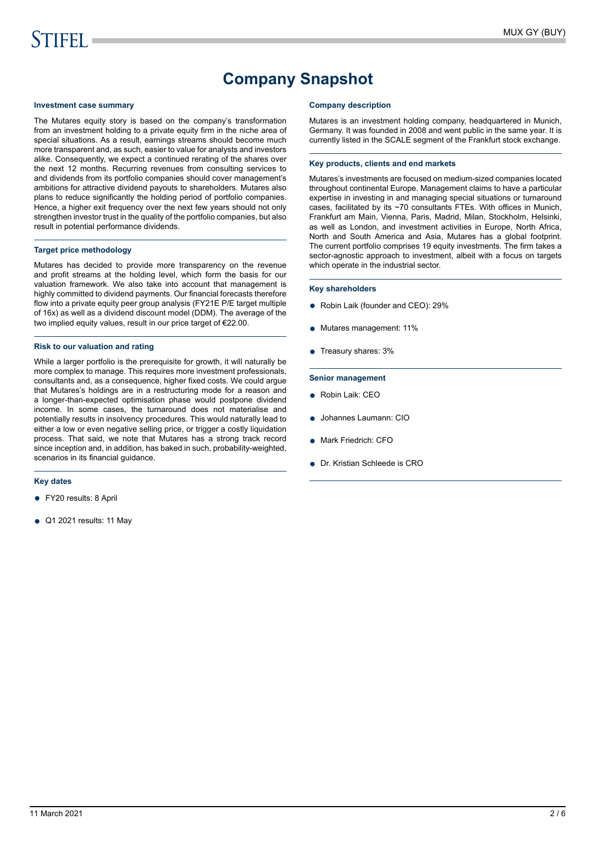# **Company Snapshot**

#### **Investment case summary**

The Mutares equity story is based on the company's transformation from an investment holding to a private equity firm in the niche area of special situations. As a result, earnings streams should become much more transparent and, as such, easier to value for analysts and investors alike. Consequently, we expect a continued rerating of the shares over the next 12 months. Recurring revenues from consulting services to and dividends from its portfolio companies should cover management's ambitions for attractive dividend payouts to shareholders. Mutares also plans to reduce significantly the holding period of portfolio companies. Hence, a higher exit frequency over the next few years should not only strengthen investor trust in the quality of the portfolio companies, but also result in potential performance dividends.

#### **Target price methodology**

Mutares has decided to provide more transparency on the revenue and profit streams at the holding level, which form the basis for our valuation framework. We also take into account that management is highly committed to dividend payments. Our financial forecasts therefore flow into a private equity peer group analysis (FY21E P/E target multiple of 16x) as well as a dividend discount model (DDM). The average of the two implied equity values, result in our price target of €22.00.

#### **Risk to our valuation and rating**

While a larger portfolio is the prerequisite for growth, it will naturally be more complex to manage. This requires more investment professionals, consultants and, as a consequence, higher fixed costs. We could argue that Mutares's holdings are in a restructuring mode for a reason and a longer-than-expected optimisation phase would postpone dividend income. In some cases, the turnaround does not materialise and potentially results in insolvency procedures. This would naturally lead to either a low or even negative selling price, or trigger a costly liquidation process. That said, we note that Mutares has a strong track record since inception and, in addition, has baked in such, probability-weighted, scenarios in its financial guidance.

#### **Key dates**

- FY20 results: 8 April
- Q1 2021 results: 11 May

#### **Company description**

Mutares is an investment holding company, headquartered in Munich, Germany. It was founded in 2008 and went public in the same year. It is currently listed in the SCALE segment of the Frankfurt stock exchange.

#### **Key products, clients and end markets**

Mutares's investments are focused on medium-sized companies located throughout continental Europe. Management claims to have a particular expertise in investing in and managing special situations or turnaround cases, facilitated by its ~70 consultants FTEs. With offices in Munich, Frankfurt am Main, Vienna, Paris, Madrid, Milan, Stockholm, Helsinki, as well as London, and investment activities in Europe, North Africa, North and South America and Asia, Mutares has a global footprint. The current portfolio comprises 19 equity investments. The firm takes a sector-agnostic approach to investment, albeit with a focus on targets which operate in the industrial sector.

#### **Key shareholders**

- Robin Laik (founder and CEO): 29%
- Mutares management: 11%
- Treasury shares: 3%

#### **Senior management**

- Robin Laik: CEO
- Johannes Laumann: CIO
- Mark Friedrich: CFO
- Dr. Kristian Schleede is CRO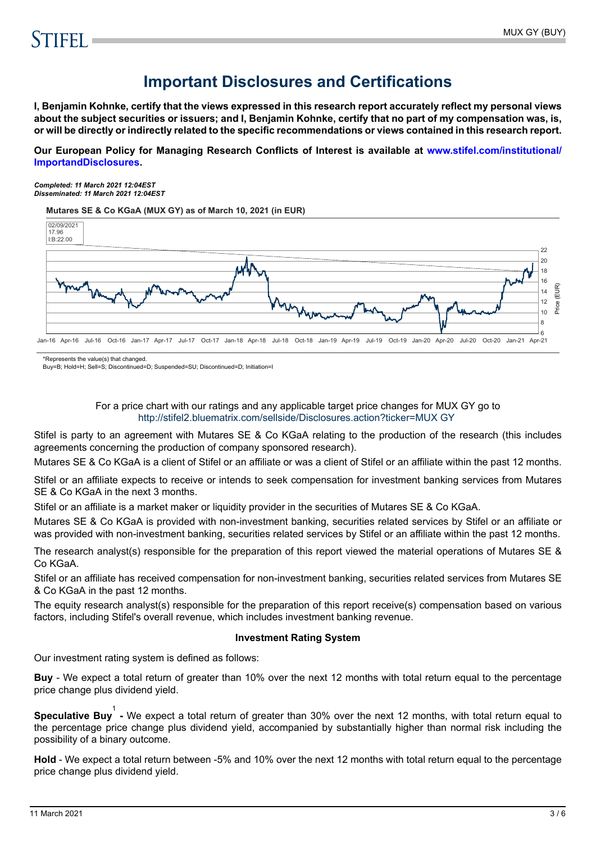# **Important Disclosures and Certifications**

**I, Benjamin Kohnke, certify that the views expressed in this research report accurately reflect my personal views about the subject securities or issuers; and I, Benjamin Kohnke, certify that no part of my compensation was, is, or will be directly or indirectly related to the specific recommendations or views contained in this research report.**

**Our European Policy for Managing Research Conflicts of Interest is available at [www.stifel.com/institutional/](https://www.stifel.com/institutional/ImportantDisclosures) [ImportandDisclosures.](https://www.stifel.com/institutional/ImportantDisclosures)**

*Completed: 11 March 2021 12:04EST Disseminated: 11 March 2021 12:04EST*

**Mutares SE & Co KGaA (MUX GY) as of March 10, 2021 (in EUR)**



\*Represents the value(s) that changed.

Buy=B; Hold=H; Sell=S; Discontinued=D; Suspended=SU; Discontinued=D; Initiation=I

### For a price chart with our ratings and any applicable target price changes for MUX GY go to <http://stifel2.bluematrix.com/sellside/Disclosures.action?ticker=MUX GY>

Stifel is party to an agreement with Mutares SE & Co KGaA relating to the production of the research (this includes agreements concerning the production of company sponsored research).

Mutares SE & Co KGaA is a client of Stifel or an affiliate or was a client of Stifel or an affiliate within the past 12 months.

Stifel or an affiliate expects to receive or intends to seek compensation for investment banking services from Mutares SE & Co KGaA in the next 3 months.

Stifel or an affiliate is a market maker or liquidity provider in the securities of Mutares SE & Co KGaA.

Mutares SE & Co KGaA is provided with non-investment banking, securities related services by Stifel or an affiliate or was provided with non-investment banking, securities related services by Stifel or an affiliate within the past 12 months.

The research analyst(s) responsible for the preparation of this report viewed the material operations of Mutares SE & Co KGaA.

Stifel or an affiliate has received compensation for non-investment banking, securities related services from Mutares SE & Co KGaA in the past 12 months.

The equity research analyst(s) responsible for the preparation of this report receive(s) compensation based on various factors, including Stifel's overall revenue, which includes investment banking revenue.

### **Investment Rating System**

Our investment rating system is defined as follows:

**Buy** - We expect a total return of greater than 10% over the next 12 months with total return equal to the percentage price change plus dividend yield.

**Speculative Buy**<sup>1</sup> - We expect a total return of greater than 30% over the next 12 months, with total return equal to the percentage price change plus dividend yield, accompanied by substantially higher than normal risk including the possibility of a binary outcome.

**Hold** - We expect a total return between -5% and 10% over the next 12 months with total return equal to the percentage price change plus dividend yield.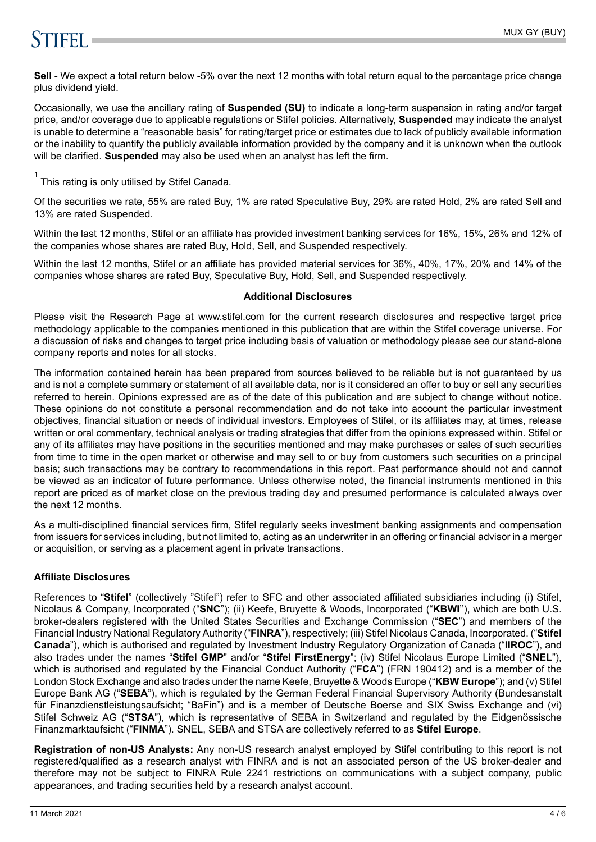# **STIFFI**

**Sell** - We expect a total return below -5% over the next 12 months with total return equal to the percentage price change plus dividend yield.

Occasionally, we use the ancillary rating of **Suspended (SU)** to indicate a long-term suspension in rating and/or target price, and/or coverage due to applicable regulations or Stifel policies. Alternatively, **Suspended** may indicate the analyst is unable to determine a "reasonable basis" for rating/target price or estimates due to lack of publicly available information or the inability to quantify the publicly available information provided by the company and it is unknown when the outlook will be clarified. **Suspended** may also be used when an analyst has left the firm.

 $1$  This rating is only utilised by Stifel Canada.

Of the securities we rate, 55% are rated Buy, 1% are rated Speculative Buy, 29% are rated Hold, 2% are rated Sell and 13% are rated Suspended.

Within the last 12 months, Stifel or an affiliate has provided investment banking services for 16%, 15%, 26% and 12% of the companies whose shares are rated Buy, Hold, Sell, and Suspended respectively.

Within the last 12 months, Stifel or an affiliate has provided material services for 36%, 40%, 17%, 20% and 14% of the companies whose shares are rated Buy, Speculative Buy, Hold, Sell, and Suspended respectively.

### **Additional Disclosures**

Please visit the Research Page at www.stifel.com for the current research disclosures and respective target price methodology applicable to the companies mentioned in this publication that are within the Stifel coverage universe. For a discussion of risks and changes to target price including basis of valuation or methodology please see our stand-alone company reports and notes for all stocks.

The information contained herein has been prepared from sources believed to be reliable but is not guaranteed by us and is not a complete summary or statement of all available data, nor is it considered an offer to buy or sell any securities referred to herein. Opinions expressed are as of the date of this publication and are subject to change without notice. These opinions do not constitute a personal recommendation and do not take into account the particular investment objectives, financial situation or needs of individual investors. Employees of Stifel, or its affiliates may, at times, release written or oral commentary, technical analysis or trading strategies that differ from the opinions expressed within. Stifel or any of its affiliates may have positions in the securities mentioned and may make purchases or sales of such securities from time to time in the open market or otherwise and may sell to or buy from customers such securities on a principal basis; such transactions may be contrary to recommendations in this report. Past performance should not and cannot be viewed as an indicator of future performance. Unless otherwise noted, the financial instruments mentioned in this report are priced as of market close on the previous trading day and presumed performance is calculated always over the next 12 months.

As a multi-disciplined financial services firm, Stifel regularly seeks investment banking assignments and compensation from issuers for services including, but not limited to, acting as an underwriter in an offering or financial advisor in a merger or acquisition, or serving as a placement agent in private transactions.

## **Affiliate Disclosures**

References to "**Stifel**" (collectively "Stifel") refer to SFC and other associated affiliated subsidiaries including (i) Stifel, Nicolaus & Company, Incorporated ("**SNC**"); (ii) Keefe, Bruyette & Woods, Incorporated ("**KBWI**''), which are both U.S. broker-dealers registered with the United States Securities and Exchange Commission ("**SEC**") and members of the Financial Industry National Regulatory Authority ("**FINRA**"), respectively; (iii) Stifel Nicolaus Canada, Incorporated. ("**Stifel Canada**"), which is authorised and regulated by Investment Industry Regulatory Organization of Canada ("**IIROC**"), and also trades under the names "**Stifel GMP**" and/or "**Stifel FirstEnergy**"; (iv) Stifel Nicolaus Europe Limited ("**SNEL**"), which is authorised and regulated by the Financial Conduct Authority ("**FCA**") (FRN 190412) and is a member of the London Stock Exchange and also trades under the name Keefe, Bruyette & Woods Europe ("**KBW Europe**"); and (v) Stifel Europe Bank AG ("**SEBA**"), which is regulated by the German Federal Financial Supervisory Authority (Bundesanstalt für Finanzdienstleistungsaufsicht; "BaFin") and is a member of Deutsche Boerse and SIX Swiss Exchange and (vi) Stifel Schweiz AG ("**STSA**"), which is representative of SEBA in Switzerland and regulated by the Eidgenössische Finanzmarktaufsicht ("**FINMA**"). SNEL, SEBA and STSA are collectively referred to as **Stifel Europe**.

**Registration of non-US Analysts:** Any non-US research analyst employed by Stifel contributing to this report is not registered/qualified as a research analyst with FINRA and is not an associated person of the US broker-dealer and therefore may not be subject to FINRA Rule 2241 restrictions on communications with a subject company, public appearances, and trading securities held by a research analyst account.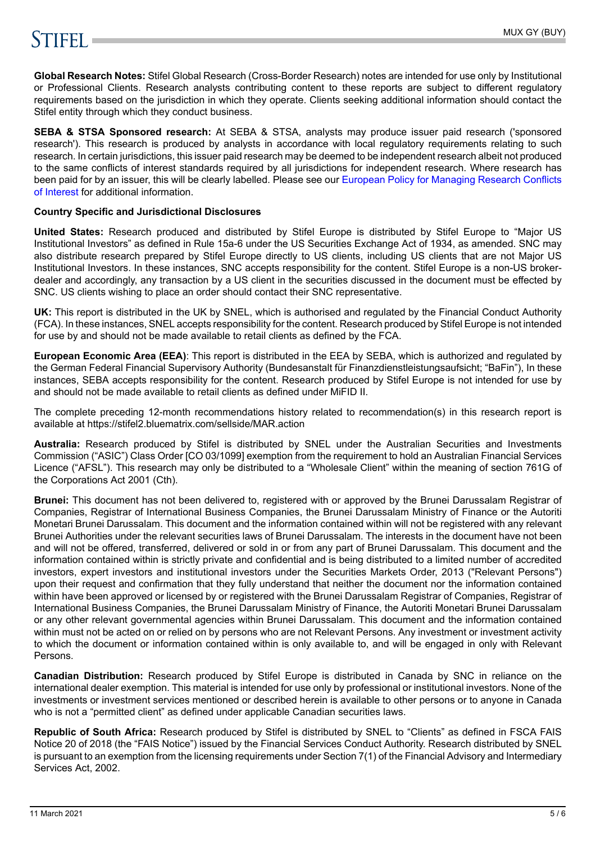# **STIFFLE**

**Global Research Notes:** Stifel Global Research (Cross-Border Research) notes are intended for use only by Institutional or Professional Clients. Research analysts contributing content to these reports are subject to different regulatory requirements based on the jurisdiction in which they operate. Clients seeking additional information should contact the Stifel entity through which they conduct business.

**SEBA & STSA Sponsored research:** At SEBA & STSA, analysts may produce issuer paid research ('sponsored research'). This research is produced by analysts in accordance with local regulatory requirements relating to such research. In certain jurisdictions, this issuer paid research may be deemed to be independent research albeit not produced to the same conflicts of interest standards required by all jurisdictions for independent research. Where research has been paid for by an issuer, this will be clearly labelled. Please see our [European Policy for Managing Research Conflicts](https://www.stifel.com/institutional/ImportantDisclosures) [of Interest](https://www.stifel.com/institutional/ImportantDisclosures) for additional information.

## **Country Specific and Jurisdictional Disclosures**

**United States:** Research produced and distributed by Stifel Europe is distributed by Stifel Europe to "Major US Institutional Investors" as defined in Rule 15a-6 under the US Securities Exchange Act of 1934, as amended. SNC may also distribute research prepared by Stifel Europe directly to US clients, including US clients that are not Major US Institutional Investors. In these instances, SNC accepts responsibility for the content. Stifel Europe is a non-US brokerdealer and accordingly, any transaction by a US client in the securities discussed in the document must be effected by SNC. US clients wishing to place an order should contact their SNC representative.

**UK:** This report is distributed in the UK by SNEL, which is authorised and regulated by the Financial Conduct Authority (FCA). In these instances, SNEL accepts responsibility for the content. Research produced by Stifel Europe is not intended for use by and should not be made available to retail clients as defined by the FCA.

**European Economic Area (EEA)**: This report is distributed in the EEA by SEBA, which is authorized and regulated by the German Federal Financial Supervisory Authority (Bundesanstalt für Finanzdienstleistungsaufsicht; "BaFin"), In these instances, SEBA accepts responsibility for the content. Research produced by Stifel Europe is not intended for use by and should not be made available to retail clients as defined under MiFID II.

The complete preceding 12-month recommendations history related to recommendation(s) in this research report is available at https://stifel2.bluematrix.com/sellside/MAR.action

**Australia:** Research produced by Stifel is distributed by SNEL under the Australian Securities and Investments Commission ("ASIC") Class Order [CO 03/1099] exemption from the requirement to hold an Australian Financial Services Licence ("AFSL"). This research may only be distributed to a "Wholesale Client" within the meaning of section 761G of the Corporations Act 2001 (Cth).

**Brunei:** This document has not been delivered to, registered with or approved by the Brunei Darussalam Registrar of Companies, Registrar of International Business Companies, the Brunei Darussalam Ministry of Finance or the Autoriti Monetari Brunei Darussalam. This document and the information contained within will not be registered with any relevant Brunei Authorities under the relevant securities laws of Brunei Darussalam. The interests in the document have not been and will not be offered, transferred, delivered or sold in or from any part of Brunei Darussalam. This document and the information contained within is strictly private and confidential and is being distributed to a limited number of accredited investors, expert investors and institutional investors under the Securities Markets Order, 2013 ("Relevant Persons") upon their request and confirmation that they fully understand that neither the document nor the information contained within have been approved or licensed by or registered with the Brunei Darussalam Registrar of Companies, Registrar of International Business Companies, the Brunei Darussalam Ministry of Finance, the Autoriti Monetari Brunei Darussalam or any other relevant governmental agencies within Brunei Darussalam. This document and the information contained within must not be acted on or relied on by persons who are not Relevant Persons. Any investment or investment activity to which the document or information contained within is only available to, and will be engaged in only with Relevant Persons.

**Canadian Distribution:** Research produced by Stifel Europe is distributed in Canada by SNC in reliance on the international dealer exemption. This material is intended for use only by professional or institutional investors. None of the investments or investment services mentioned or described herein is available to other persons or to anyone in Canada who is not a "permitted client" as defined under applicable Canadian securities laws.

**Republic of South Africa:** Research produced by Stifel is distributed by SNEL to "Clients" as defined in FSCA FAIS Notice 20 of 2018 (the "FAIS Notice") issued by the Financial Services Conduct Authority. Research distributed by SNEL is pursuant to an exemption from the licensing requirements under Section 7(1) of the Financial Advisory and Intermediary Services Act, 2002.